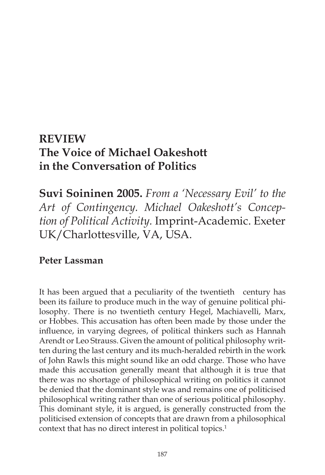# **REVIEW The Voice of Michael Oakeshott in the Conversation of Politics**

**Suvi Soininen 2005.** *From a 'Necessary Evil' to the Art of Contingency. Michael Oakeshott's Conception of Political Activity.* Imprint-Academic. Exeter UK/Charlottesville, VA, USA.

# **Peter Lassman**

It has been argued that a peculiarity of the twentieth century has been its failure to produce much in the way of genuine political philosophy. There is no twentieth century Hegel, Machiavelli, Marx, or Hobbes. This accusation has often been made by those under the influence, in varying degrees, of political thinkers such as Hannah Arendt or Leo Strauss. Given the amount of political philosophy written during the last century and its much-heralded rebirth in the work of John Rawls this might sound like an odd charge. Those who have made this accusation generally meant that although it is true that there was no shortage of philosophical writing on politics it cannot be denied that the dominant style was and remains one of politicised philosophical writing rather than one of serious political philosophy. This dominant style, it is argued, is generally constructed from the politicised extension of concepts that are drawn from a philosophical context that has no direct interest in political topics.<sup>1</sup>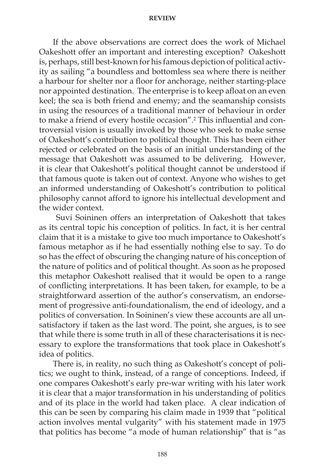#### **REVIEW**

If the above observations are correct does the work of Michael Oakeshott offer an important and interesting exception? Oakeshott is, perhaps, still best-known for his famous depiction of political activity as sailing "a boundless and bottomless sea where there is neither a harbour for shelter nor a floor for anchorage, neither starting-place nor appointed destination. The enterprise is to keep afloat on an even keel; the sea is both friend and enemy; and the seamanship consists in using the resources of a traditional manner of behaviour in order to make a friend of every hostile occasion".2 This influential and controversial vision is usually invoked by those who seek to make sense of Oakeshott's contribution to political thought. This has been either rejected or celebrated on the basis of an initial understanding of the message that Oakeshott was assumed to be delivering. However, it is clear that Oakeshott's political thought cannot be understood if that famous quote is taken out of context. Anyone who wishes to get an informed understanding of Oakeshott's contribution to political philosophy cannot afford to ignore his intellectual development and the wider context.

 Suvi Soininen offers an interpretation of Oakeshott that takes as its central topic his conception of politics. In fact, it is her central claim that it is a mistake to give too much importance to Oakeshott's famous metaphor as if he had essentially nothing else to say. To do so has the effect of obscuring the changing nature of his conception of the nature of politics and of political thought. As soon as he proposed this metaphor Oakeshott realised that it would be open to a range of conflicting interpretations. It has been taken, for example, to be a straightforward assertion of the author's conservatism, an endorsement of progressive anti-foundationalism, the end of ideology, and a politics of conversation. In Soininen's view these accounts are all unsatisfactory if taken as the last word. The point, she argues, is to see that while there is some truth in all of these characterisations it is necessary to explore the transformations that took place in Oakeshott's idea of politics.

There is, in reality, no such thing as Oakeshott's concept of politics; we ought to think, instead, of a range of conceptions. Indeed, if one compares Oakeshott's early pre-war writing with his later work it is clear that a major transformation in his understanding of politics and of its place in the world had taken place. A clear indication of this can be seen by comparing his claim made in 1939 that "political action involves mental vulgarity" with his statement made in 1975 that politics has become "a mode of human relationship" that is "as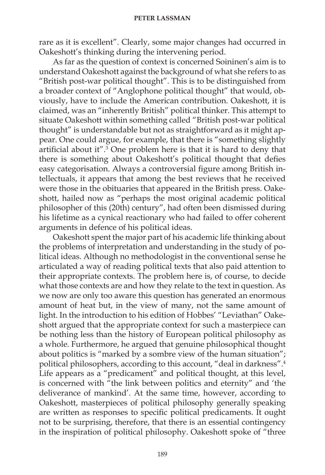rare as it is excellent". Clearly, some major changes had occurred in Oakeshott's thinking during the intervening period.

As far as the question of context is concerned Soininen's aim is to understand Oakeshott against the background of what she refers to as "British post-war political thought". This is to be distinguished from a broader context of "Anglophone political thought" that would, obviously, have to include the American contribution. Oakeshott, it is claimed, was an "inherently British" political thinker. This attempt to situate Oakeshott within something called "British post-war political thought" is understandable but not as straightforward as it might appear. One could argue, for example, that there is "something slightly artificial about it".3 One problem here is that it is hard to deny that there is something about Oakeshott's political thought that defies easy categorisation. Always a controversial figure among British intellectuals, it appears that among the best reviews that he received were those in the obituaries that appeared in the British press. Oakeshott, hailed now as "perhaps the most original academic political philosopher of this (20th) century", had often been dismissed during his lifetime as a cynical reactionary who had failed to offer coherent arguments in defence of his political ideas.

Oakeshott spent the major part of his academic life thinking about the problems of interpretation and understanding in the study of political ideas. Although no methodologist in the conventional sense he articulated a way of reading political texts that also paid attention to their appropriate contexts. The problem here is, of course, to decide what those contexts are and how they relate to the text in question. As we now are only too aware this question has generated an enormous amount of heat but, in the view of many, not the same amount of light. In the introduction to his edition of Hobbes' "Leviathan" Oakeshott argued that the appropriate context for such a masterpiece can be nothing less than the history of European political philosophy as a whole. Furthermore, he argued that genuine philosophical thought about politics is "marked by a sombre view of the human situation"; political philosophers, according to this account, "deal in darkness".4 Life appears as a "predicament" and political thought, at this level, is concerned with "the link between politics and eternity" and 'the deliverance of mankind'. At the same time, however, according to Oakeshott, masterpieces of political philosophy generally speaking are written as responses to specific political predicaments. It ought not to be surprising, therefore, that there is an essential contingency in the inspiration of political philosophy. Oakeshott spoke of "three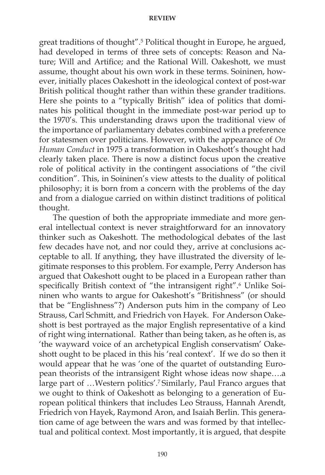great traditions of thought".5 Political thought in Europe, he argued, had developed in terms of three sets of concepts: Reason and Nature; Will and Artifice; and the Rational Will. Oakeshott, we must assume, thought about his own work in these terms. Soininen, however, initially places Oakeshott in the ideological context of post-war British political thought rather than within these grander traditions. Here she points to a "typically British" idea of politics that dominates his political thought in the immediate post-war period up to the 1970's. This understanding draws upon the traditional view of the importance of parliamentary debates combined with a preference for statesmen over politicians. However, with the appearance of *On Human Conduct* in 1975 a transformation in Oakeshott's thought had clearly taken place. There is now a distinct focus upon the creative role of political activity in the contingent associations of "the civil condition". This, in Soininen's view attests to the duality of political philosophy; it is born from a concern with the problems of the day and from a dialogue carried on within distinct traditions of political thought.

The question of both the appropriate immediate and more general intellectual context is never straightforward for an innovatory thinker such as Oakeshott. The methodological debates of the last few decades have not, and nor could they, arrive at conclusions acceptable to all. If anything, they have illustrated the diversity of legitimate responses to this problem. For example, Perry Anderson has argued that Oakeshott ought to be placed in a European rather than specifically British context of "the intransigent right".<sup>6</sup> Unlike Soininen who wants to argue for Oakeshott's "Britishness" (or should that be "Englishness"?) Anderson puts him in the company of Leo Strauss, Carl Schmitt, and Friedrich von Hayek. For Anderson Oakeshott is best portrayed as the major English representative of a kind of right wing international. Rather than being taken, as he often is, as 'the wayward voice of an archetypical English conservatism' Oakeshott ought to be placed in this his 'real context'. If we do so then it would appear that he was 'one of the quartet of outstanding European theorists of the intransigent Right whose ideas now shape….a large part of …Western politics'.7 Similarly, Paul Franco argues that we ought to think of Oakeshott as belonging to a generation of European political thinkers that includes Leo Strauss, Hannah Arendt, Friedrich von Hayek, Raymond Aron, and Isaiah Berlin. This generation came of age between the wars and was formed by that intellectual and political context. Most importantly, it is argued, that despite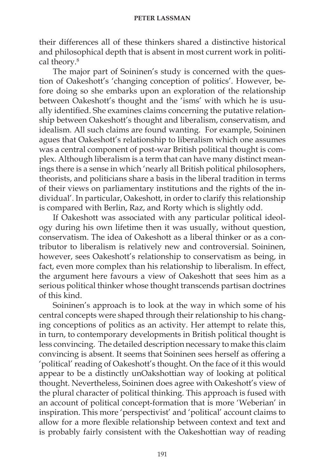their differences all of these thinkers shared a distinctive historical and philosophical depth that is absent in most current work in political theory.<sup>8</sup>

The major part of Soininen's study is concerned with the question of Oakeshott's 'changing conception of politics'. However, before doing so she embarks upon an exploration of the relationship between Oakeshott's thought and the 'isms' with which he is usually identified. She examines claims concerning the putative relationship between Oakeshott's thought and liberalism, conservatism, and idealism. All such claims are found wanting. For example, Soininen agues that Oakeshott's relationship to liberalism which one assumes was a central component of post-war British political thought is complex. Although liberalism is a term that can have many distinct meanings there is a sense in which 'nearly all British political philosophers, theorists, and politicians share a basis in the liberal tradition in terms of their views on parliamentary institutions and the rights of the individual'. In particular, Oakeshott, in order to clarify this relationship is compared with Berlin, Raz, and Rorty which is slightly odd.

If Oakeshott was associated with any particular political ideology during his own lifetime then it was usually, without question, conservatism. The idea of Oakeshott as a liberal thinker or as a contributor to liberalism is relatively new and controversial. Soininen, however, sees Oakeshott's relationship to conservatism as being, in fact, even more complex than his relationship to liberalism. In effect, the argument here favours a view of Oakeshott that sees him as a serious political thinker whose thought transcends partisan doctrines of this kind.

Soininen's approach is to look at the way in which some of his central concepts were shaped through their relationship to his changing conceptions of politics as an activity. Her attempt to relate this, in turn, to contemporary developments in British political thought is less convincing. The detailed description necessary to make this claim convincing is absent. It seems that Soininen sees herself as offering a 'political' reading of Oakeshott's thought. On the face of it this would appear to be a distinctly unOakshottian way of looking at political thought. Nevertheless, Soininen does agree with Oakeshott's view of the plural character of political thinking. This approach is fused with an account of political concept-formation that is more 'Weberian' in inspiration. This more 'perspectivist' and 'political' account claims to allow for a more flexible relationship between context and text and is probably fairly consistent with the Oakeshottian way of reading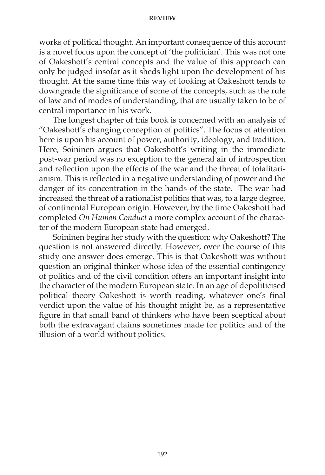#### **REVIEW**

works of political thought. An important consequence of this account is a novel focus upon the concept of 'the politician'. This was not one of Oakeshott's central concepts and the value of this approach can only be judged insofar as it sheds light upon the development of his thought. At the same time this way of looking at Oakeshott tends to downgrade the significance of some of the concepts, such as the rule of law and of modes of understanding, that are usually taken to be of central importance in his work.

The longest chapter of this book is concerned with an analysis of "Oakeshott's changing conception of politics". The focus of attention here is upon his account of power, authority, ideology, and tradition. Here, Soininen argues that Oakeshott's writing in the immediate post-war period was no exception to the general air of introspection and reflection upon the effects of the war and the threat of totalitarianism. This is reflected in a negative understanding of power and the danger of its concentration in the hands of the state. The war had increased the threat of a rationalist politics that was, to a large degree, of continental European origin. However, by the time Oakeshott had completed *On Human Conduct* a more complex account of the character of the modern European state had emerged.

Soininen begins her study with the question: why Oakeshott? The question is not answered directly. However, over the course of this study one answer does emerge. This is that Oakeshott was without question an original thinker whose idea of the essential contingency of politics and of the civil condition offers an important insight into the character of the modern European state. In an age of depoliticised political theory Oakeshott is worth reading, whatever one's final verdict upon the value of his thought might be, as a representative figure in that small band of thinkers who have been sceptical about both the extravagant claims sometimes made for politics and of the illusion of a world without politics.